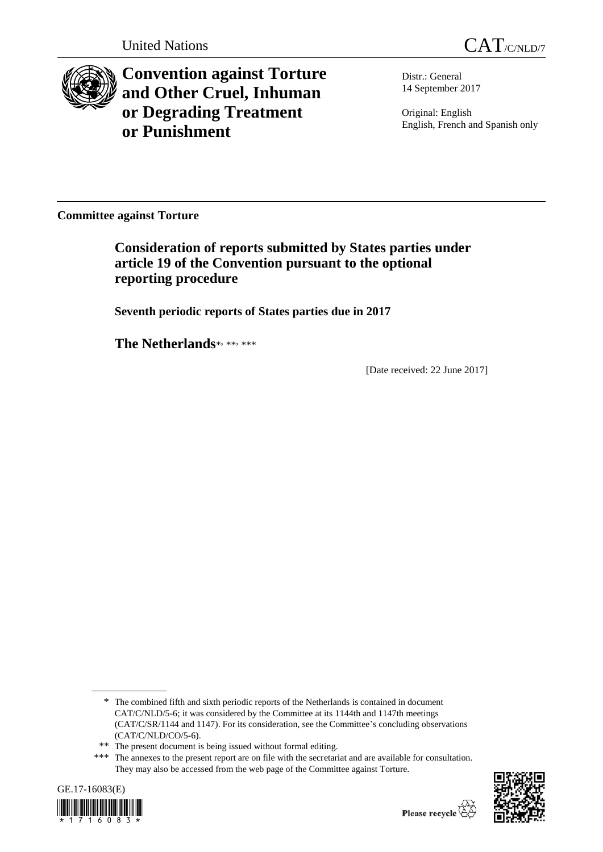

**Convention against Torture and Other Cruel, Inhuman or Degrading Treatment or Punishment**

Distr.: General 14 September 2017

Original: English English, French and Spanish only

**Committee against Torture**

**Consideration of reports submitted by States parties under article 19 of the Convention pursuant to the optional reporting procedure**

**Seventh periodic reports of States parties due in 2017**

The Netherlands\*, \*\*, \*\*\*

[Date received: 22 June 2017]

<sup>\*\*\*</sup> The annexes to the present report are on file with the secretariat and are available for consultation. They may also be accessed from the web page of the Committee against Torture.





<sup>\*</sup> The combined fifth and sixth periodic reports of the Netherlands is contained in document CAT/C/NLD/5-6; it was considered by the Committee at its 1144th and 1147th meetings (CAT/C/SR/1144 and 1147). For its consideration, see the Committee's concluding observations (CAT/C/NLD/CO/5-6).

<sup>\*\*</sup> The present document is being issued without formal editing.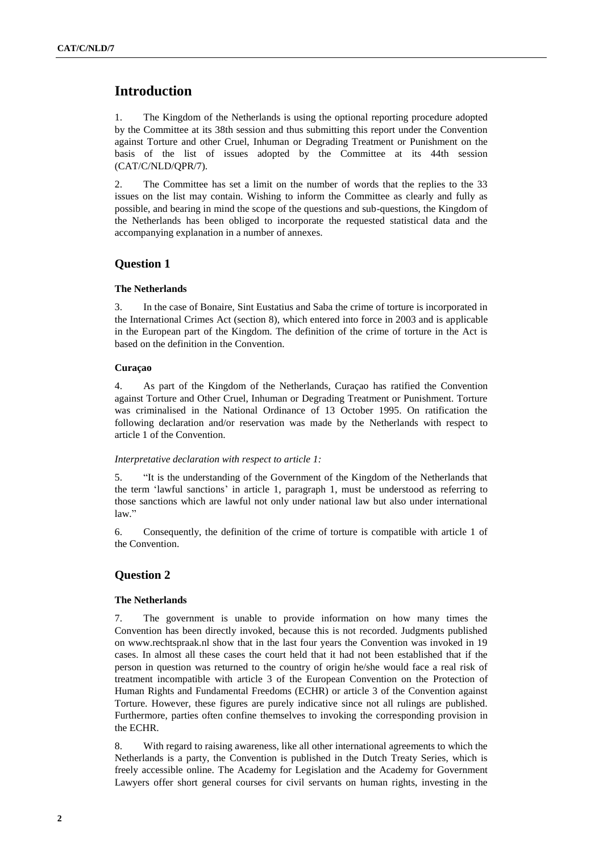# **Introduction**

1. The Kingdom of the Netherlands is using the optional reporting procedure adopted by the Committee at its 38th session and thus submitting this report under the Convention against Torture and other Cruel, Inhuman or Degrading Treatment or Punishment on the basis of the list of issues adopted by the Committee at its 44th session (CAT/C/NLD/QPR/7).

2. The Committee has set a limit on the number of words that the replies to the 33 issues on the list may contain. Wishing to inform the Committee as clearly and fully as possible, and bearing in mind the scope of the questions and sub-questions, the Kingdom of the Netherlands has been obliged to incorporate the requested statistical data and the accompanying explanation in a number of annexes.

## **Question 1**

#### **The Netherlands**

3. In the case of Bonaire, Sint Eustatius and Saba the crime of torture is incorporated in the International Crimes Act (section 8), which entered into force in 2003 and is applicable in the European part of the Kingdom. The definition of the crime of torture in the Act is based on the definition in the Convention.

### **Curaçao**

4. As part of the Kingdom of the Netherlands, Curaçao has ratified the Convention against Torture and Other Cruel, Inhuman or Degrading Treatment or Punishment. Torture was criminalised in the National Ordinance of 13 October 1995. On ratification the following declaration and/or reservation was made by the Netherlands with respect to article 1 of the Convention.

#### *Interpretative declaration with respect to article 1:*

5. "It is the understanding of the Government of the Kingdom of the Netherlands that the term 'lawful sanctions' in article 1, paragraph 1, must be understood as referring to those sanctions which are lawful not only under national law but also under international law."

6. Consequently, the definition of the crime of torture is compatible with article 1 of the Convention.

## **Question 2**

## **The Netherlands**

7. The government is unable to provide information on how many times the Convention has been directly invoked, because this is not recorded. Judgments published on www.rechtspraak.nl show that in the last four years the Convention was invoked in 19 cases. In almost all these cases the court held that it had not been established that if the person in question was returned to the country of origin he/she would face a real risk of treatment incompatible with article 3 of the European Convention on the Protection of Human Rights and Fundamental Freedoms (ECHR) or article 3 of the Convention against Torture. However, these figures are purely indicative since not all rulings are published. Furthermore, parties often confine themselves to invoking the corresponding provision in the ECHR.

8. With regard to raising awareness, like all other international agreements to which the Netherlands is a party, the Convention is published in the Dutch Treaty Series, which is freely accessible online. The Academy for Legislation and the Academy for Government Lawyers offer short general courses for civil servants on human rights, investing in the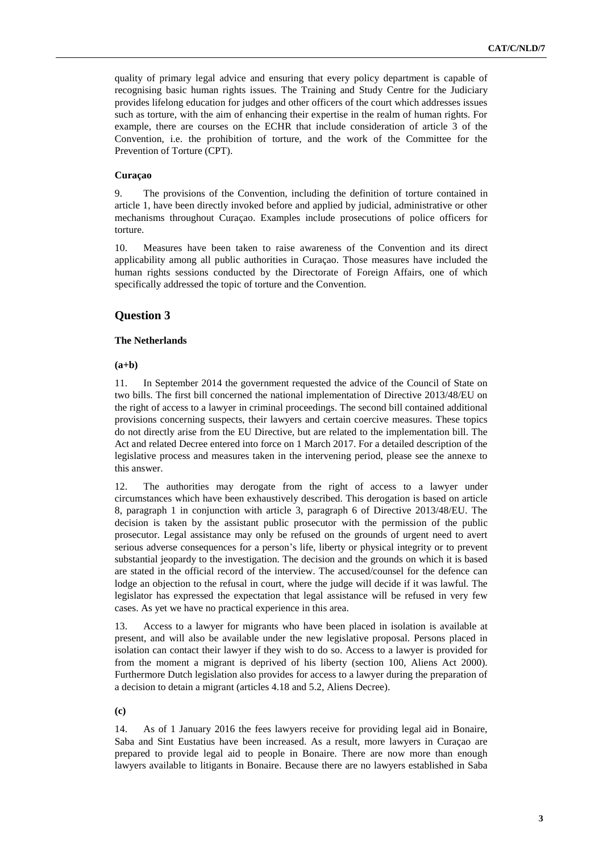quality of primary legal advice and ensuring that every policy department is capable of recognising basic human rights issues. The Training and Study Centre for the Judiciary provides lifelong education for judges and other officers of the court which addresses issues such as torture, with the aim of enhancing their expertise in the realm of human rights. For example, there are courses on the ECHR that include consideration of article 3 of the Convention, i.e. the prohibition of torture, and the work of the Committee for the Prevention of Torture (CPT).

### **Curaçao**

9. The provisions of the Convention, including the definition of torture contained in article 1, have been directly invoked before and applied by judicial, administrative or other mechanisms throughout Curaçao. Examples include prosecutions of police officers for torture.

10. Measures have been taken to raise awareness of the Convention and its direct applicability among all public authorities in Curaçao. Those measures have included the human rights sessions conducted by the Directorate of Foreign Affairs, one of which specifically addressed the topic of torture and the Convention.

# **Question 3**

## **The Netherlands**

#### **(a+b)**

11. In September 2014 the government requested the advice of the Council of State on two bills. The first bill concerned the national implementation of Directive 2013/48/EU on the right of access to a lawyer in criminal proceedings. The second bill contained additional provisions concerning suspects, their lawyers and certain coercive measures. These topics do not directly arise from the EU Directive, but are related to the implementation bill. The Act and related Decree entered into force on 1 March 2017. For a detailed description of the legislative process and measures taken in the intervening period, please see the annexe to this answer.

12. The authorities may derogate from the right of access to a lawyer under circumstances which have been exhaustively described. This derogation is based on article 8, paragraph 1 in conjunction with article 3, paragraph 6 of Directive 2013/48/EU. The decision is taken by the assistant public prosecutor with the permission of the public prosecutor. Legal assistance may only be refused on the grounds of urgent need to avert serious adverse consequences for a person's life, liberty or physical integrity or to prevent substantial jeopardy to the investigation. The decision and the grounds on which it is based are stated in the official record of the interview. The accused/counsel for the defence can lodge an objection to the refusal in court, where the judge will decide if it was lawful. The legislator has expressed the expectation that legal assistance will be refused in very few cases. As yet we have no practical experience in this area.

13. Access to a lawyer for migrants who have been placed in isolation is available at present, and will also be available under the new legislative proposal. Persons placed in isolation can contact their lawyer if they wish to do so. Access to a lawyer is provided for from the moment a migrant is deprived of his liberty (section 100, Aliens Act 2000). Furthermore Dutch legislation also provides for access to a lawyer during the preparation of a decision to detain a migrant (articles 4.18 and 5.2, Aliens Decree).

**(c)**

14. As of 1 January 2016 the fees lawyers receive for providing legal aid in Bonaire, Saba and Sint Eustatius have been increased. As a result, more lawyers in Curaçao are prepared to provide legal aid to people in Bonaire. There are now more than enough lawyers available to litigants in Bonaire. Because there are no lawyers established in Saba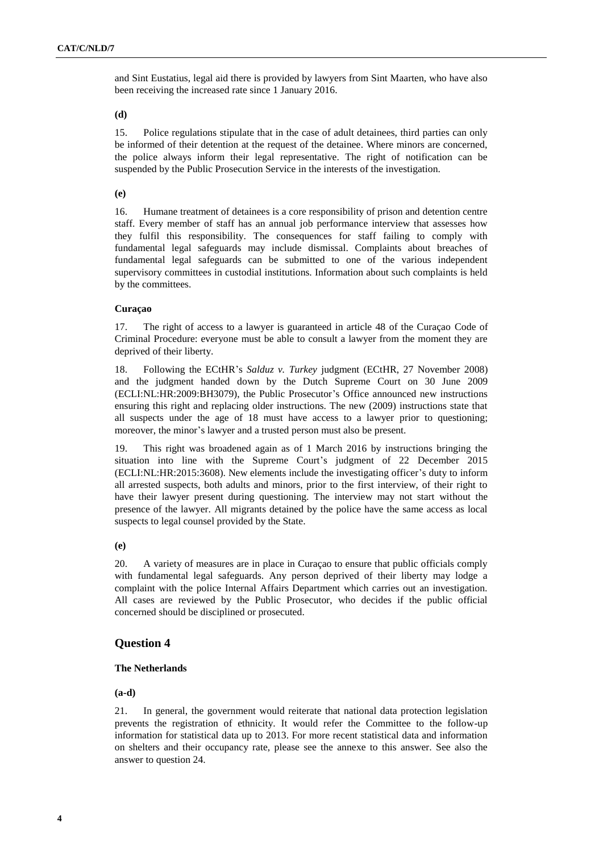and Sint Eustatius, legal aid there is provided by lawyers from Sint Maarten, who have also been receiving the increased rate since 1 January 2016.

**(d)**

15. Police regulations stipulate that in the case of adult detainees, third parties can only be informed of their detention at the request of the detainee. Where minors are concerned, the police always inform their legal representative. The right of notification can be suspended by the Public Prosecution Service in the interests of the investigation.

## **(e)**

16. Humane treatment of detainees is a core responsibility of prison and detention centre staff. Every member of staff has an annual job performance interview that assesses how they fulfil this responsibility. The consequences for staff failing to comply with fundamental legal safeguards may include dismissal. Complaints about breaches of fundamental legal safeguards can be submitted to one of the various independent supervisory committees in custodial institutions. Information about such complaints is held by the committees.

### **Curaçao**

17. The right of access to a lawyer is guaranteed in article 48 of the Curaçao Code of Criminal Procedure: everyone must be able to consult a lawyer from the moment they are deprived of their liberty.

18. Following the ECtHR's *Salduz v. Turkey* judgment (ECtHR, 27 November 2008) and the judgment handed down by the Dutch Supreme Court on 30 June 2009 (ECLI:NL:HR:2009:BH3079), the Public Prosecutor's Office announced new instructions ensuring this right and replacing older instructions. The new (2009) instructions state that all suspects under the age of 18 must have access to a lawyer prior to questioning; moreover, the minor's lawyer and a trusted person must also be present.

19. This right was broadened again as of 1 March 2016 by instructions bringing the situation into line with the Supreme Court's judgment of 22 December 2015 (ECLI:NL:HR:2015:3608). New elements include the investigating officer's duty to inform all arrested suspects, both adults and minors, prior to the first interview, of their right to have their lawyer present during questioning. The interview may not start without the presence of the lawyer. All migrants detained by the police have the same access as local suspects to legal counsel provided by the State.

**(e)**

20. A variety of measures are in place in Curaçao to ensure that public officials comply with fundamental legal safeguards. Any person deprived of their liberty may lodge a complaint with the police Internal Affairs Department which carries out an investigation. All cases are reviewed by the Public Prosecutor, who decides if the public official concerned should be disciplined or prosecuted.

## **Question 4**

### **The Netherlands**

**(a-d)**

21. In general, the government would reiterate that national data protection legislation prevents the registration of ethnicity. It would refer the Committee to the follow-up information for statistical data up to 2013. For more recent statistical data and information on shelters and their occupancy rate, please see the annexe to this answer. See also the answer to question 24.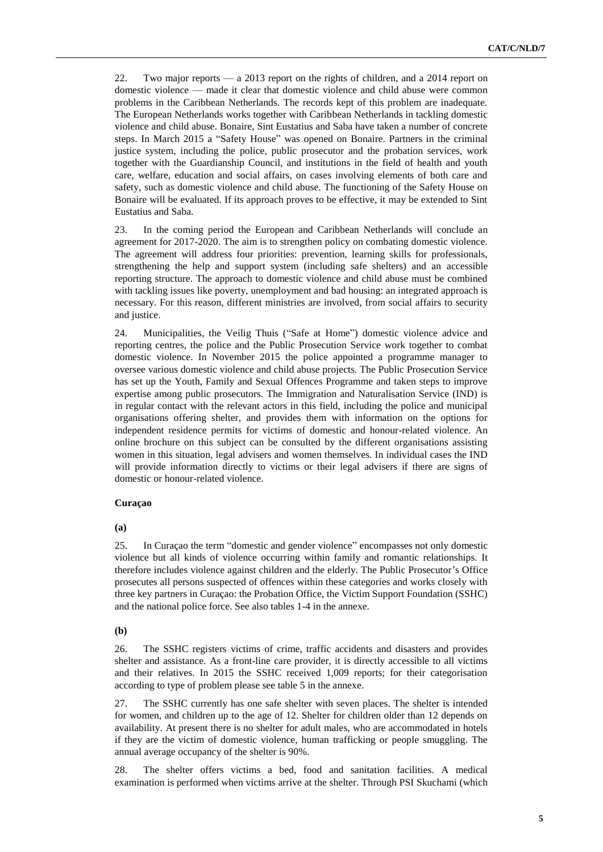22. Two major reports — a 2013 report on the rights of children, and a 2014 report on domestic violence — made it clear that domestic violence and child abuse were common problems in the Caribbean Netherlands. The records kept of this problem are inadequate. The European Netherlands works together with Caribbean Netherlands in tackling domestic violence and child abuse. Bonaire, Sint Eustatius and Saba have taken a number of concrete steps. In March 2015 a "Safety House" was opened on Bonaire. Partners in the criminal justice system, including the police, public prosecutor and the probation services, work together with the Guardianship Council, and institutions in the field of health and youth care, welfare, education and social affairs, on cases involving elements of both care and safety, such as domestic violence and child abuse. The functioning of the Safety House on Bonaire will be evaluated. If its approach proves to be effective, it may be extended to Sint Eustatius and Saba.

23. In the coming period the European and Caribbean Netherlands will conclude an agreement for 2017-2020. The aim is to strengthen policy on combating domestic violence. The agreement will address four priorities: prevention, learning skills for professionals, strengthening the help and support system (including safe shelters) and an accessible reporting structure. The approach to domestic violence and child abuse must be combined with tackling issues like poverty, unemployment and bad housing: an integrated approach is necessary. For this reason, different ministries are involved, from social affairs to security and justice.

24. Municipalities, the Veilig Thuis ("Safe at Home") domestic violence advice and reporting centres, the police and the Public Prosecution Service work together to combat domestic violence. In November 2015 the police appointed a programme manager to oversee various domestic violence and child abuse projects. The Public Prosecution Service has set up the Youth, Family and Sexual Offences Programme and taken steps to improve expertise among public prosecutors. The Immigration and Naturalisation Service (IND) is in regular contact with the relevant actors in this field, including the police and municipal organisations offering shelter, and provides them with information on the options for independent residence permits for victims of domestic and honour-related violence. An online brochure on this subject can be consulted by the different organisations assisting women in this situation, legal advisers and women themselves. In individual cases the IND will provide information directly to victims or their legal advisers if there are signs of domestic or honour-related violence.

#### **Curaçao**

## **(a)**

25. In Curaçao the term "domestic and gender violence" encompasses not only domestic violence but all kinds of violence occurring within family and romantic relationships. It therefore includes violence against children and the elderly. The Public Prosecutor's Office prosecutes all persons suspected of offences within these categories and works closely with three key partners in Curaçao: the Probation Office, the Victim Support Foundation (SSHC) and the national police force. See also tables 1-4 in the annexe.

#### **(b)**

26. The SSHC registers victims of crime, traffic accidents and disasters and provides shelter and assistance. As a front-line care provider, it is directly accessible to all victims and their relatives. In 2015 the SSHC received 1,009 reports; for their categorisation according to type of problem please see table 5 in the annexe.

27. The SSHC currently has one safe shelter with seven places. The shelter is intended for women, and children up to the age of 12. Shelter for children older than 12 depends on availability. At present there is no shelter for adult males, who are accommodated in hotels if they are the victim of domestic violence, human trafficking or people smuggling. The annual average occupancy of the shelter is 90%.

28. The shelter offers victims a bed, food and sanitation facilities. A medical examination is performed when victims arrive at the shelter. Through PSI Skuchami (which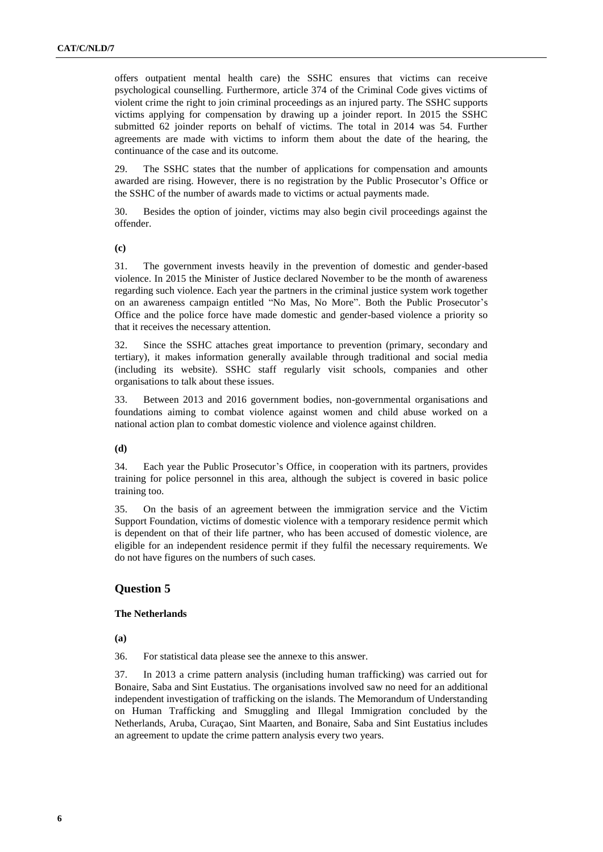offers outpatient mental health care) the SSHC ensures that victims can receive psychological counselling. Furthermore, article 374 of the Criminal Code gives victims of violent crime the right to join criminal proceedings as an injured party. The SSHC supports victims applying for compensation by drawing up a joinder report. In 2015 the SSHC submitted 62 joinder reports on behalf of victims. The total in 2014 was 54. Further agreements are made with victims to inform them about the date of the hearing, the continuance of the case and its outcome.

29. The SSHC states that the number of applications for compensation and amounts awarded are rising. However, there is no registration by the Public Prosecutor's Office or the SSHC of the number of awards made to victims or actual payments made.

30. Besides the option of joinder, victims may also begin civil proceedings against the offender.

**(c)**

31. The government invests heavily in the prevention of domestic and gender-based violence. In 2015 the Minister of Justice declared November to be the month of awareness regarding such violence. Each year the partners in the criminal justice system work together on an awareness campaign entitled "No Mas, No More". Both the Public Prosecutor's Office and the police force have made domestic and gender-based violence a priority so that it receives the necessary attention.

32. Since the SSHC attaches great importance to prevention (primary, secondary and tertiary), it makes information generally available through traditional and social media (including its website). SSHC staff regularly visit schools, companies and other organisations to talk about these issues.

33. Between 2013 and 2016 government bodies, non-governmental organisations and foundations aiming to combat violence against women and child abuse worked on a national action plan to combat domestic violence and violence against children.

#### **(d)**

34. Each year the Public Prosecutor's Office, in cooperation with its partners, provides training for police personnel in this area, although the subject is covered in basic police training too.

35. On the basis of an agreement between the immigration service and the Victim Support Foundation, victims of domestic violence with a temporary residence permit which is dependent on that of their life partner, who has been accused of domestic violence, are eligible for an independent residence permit if they fulfil the necessary requirements. We do not have figures on the numbers of such cases.

## **Question 5**

### **The Netherlands**

**(a)**

36. For statistical data please see the annexe to this answer.

37. In 2013 a crime pattern analysis (including human trafficking) was carried out for Bonaire, Saba and Sint Eustatius. The organisations involved saw no need for an additional independent investigation of trafficking on the islands. The Memorandum of Understanding on Human Trafficking and Smuggling and Illegal Immigration concluded by the Netherlands, Aruba, Curaçao, Sint Maarten, and Bonaire, Saba and Sint Eustatius includes an agreement to update the crime pattern analysis every two years.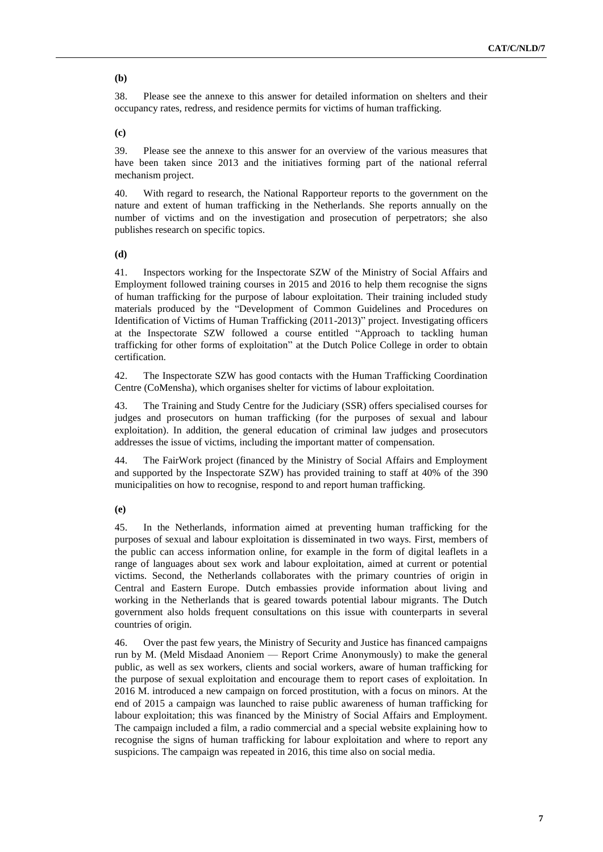### **(b)**

38. Please see the annexe to this answer for detailed information on shelters and their occupancy rates, redress, and residence permits for victims of human trafficking.

**(c)**

39. Please see the annexe to this answer for an overview of the various measures that have been taken since 2013 and the initiatives forming part of the national referral mechanism project.

40. With regard to research, the National Rapporteur reports to the government on the nature and extent of human trafficking in the Netherlands. She reports annually on the number of victims and on the investigation and prosecution of perpetrators; she also publishes research on specific topics.

**(d)**

41. Inspectors working for the Inspectorate SZW of the Ministry of Social Affairs and Employment followed training courses in 2015 and 2016 to help them recognise the signs of human trafficking for the purpose of labour exploitation. Their training included study materials produced by the "Development of Common Guidelines and Procedures on Identification of Victims of Human Trafficking (2011-2013)" project. Investigating officers at the Inspectorate SZW followed a course entitled "Approach to tackling human trafficking for other forms of exploitation" at the Dutch Police College in order to obtain certification.

42. The Inspectorate SZW has good contacts with the Human Trafficking Coordination Centre (CoMensha), which organises shelter for victims of labour exploitation.

43. The Training and Study Centre for the Judiciary (SSR) offers specialised courses for judges and prosecutors on human trafficking (for the purposes of sexual and labour exploitation). In addition, the general education of criminal law judges and prosecutors addresses the issue of victims, including the important matter of compensation.

44. The FairWork project (financed by the Ministry of Social Affairs and Employment and supported by the Inspectorate SZW) has provided training to staff at 40% of the 390 municipalities on how to recognise, respond to and report human trafficking.

**(e)**

45. In the Netherlands, information aimed at preventing human trafficking for the purposes of sexual and labour exploitation is disseminated in two ways. First, members of the public can access information online, for example in the form of digital leaflets in a range of languages about sex work and labour exploitation, aimed at current or potential victims. Second, the Netherlands collaborates with the primary countries of origin in Central and Eastern Europe. Dutch embassies provide information about living and working in the Netherlands that is geared towards potential labour migrants. The Dutch government also holds frequent consultations on this issue with counterparts in several countries of origin.

46. Over the past few years, the Ministry of Security and Justice has financed campaigns run by M. (Meld Misdaad Anoniem — Report Crime Anonymously) to make the general public, as well as sex workers, clients and social workers, aware of human trafficking for the purpose of sexual exploitation and encourage them to report cases of exploitation. In 2016 M. introduced a new campaign on forced prostitution, with a focus on minors. At the end of 2015 a campaign was launched to raise public awareness of human trafficking for labour exploitation; this was financed by the Ministry of Social Affairs and Employment. The campaign included a film, a radio commercial and a special website explaining how to recognise the signs of human trafficking for labour exploitation and where to report any suspicions. The campaign was repeated in 2016, this time also on social media.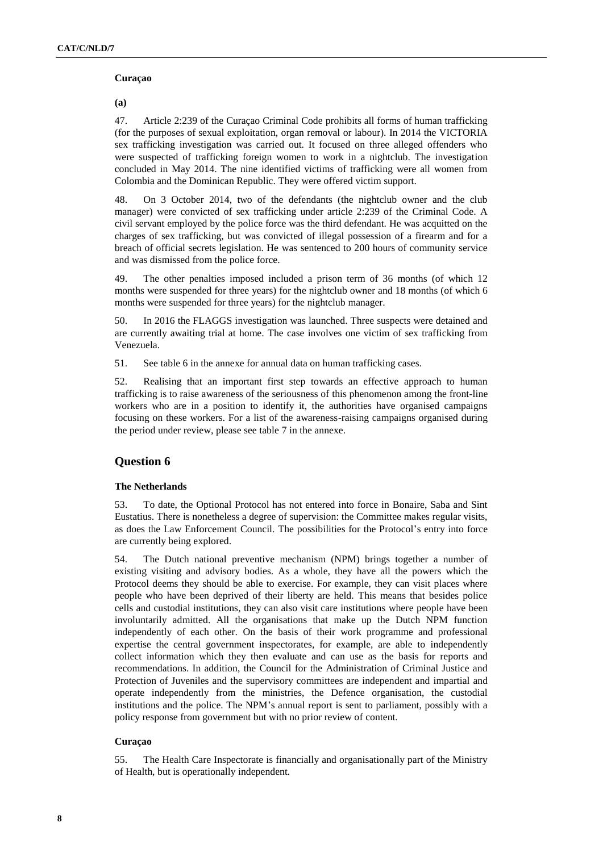#### **Curaçao**

**(a)**

47. Article 2:239 of the Curaçao Criminal Code prohibits all forms of human trafficking (for the purposes of sexual exploitation, organ removal or labour). In 2014 the VICTORIA sex trafficking investigation was carried out. It focused on three alleged offenders who were suspected of trafficking foreign women to work in a nightclub. The investigation concluded in May 2014. The nine identified victims of trafficking were all women from Colombia and the Dominican Republic. They were offered victim support.

48. On 3 October 2014, two of the defendants (the nightclub owner and the club manager) were convicted of sex trafficking under article 2:239 of the Criminal Code. A civil servant employed by the police force was the third defendant. He was acquitted on the charges of sex trafficking, but was convicted of illegal possession of a firearm and for a breach of official secrets legislation. He was sentenced to 200 hours of community service and was dismissed from the police force.

49. The other penalties imposed included a prison term of 36 months (of which 12 months were suspended for three years) for the nightclub owner and 18 months (of which 6 months were suspended for three years) for the nightclub manager.

50. In 2016 the FLAGGS investigation was launched. Three suspects were detained and are currently awaiting trial at home. The case involves one victim of sex trafficking from Venezuela.

51. See table 6 in the annexe for annual data on human trafficking cases.

52. Realising that an important first step towards an effective approach to human trafficking is to raise awareness of the seriousness of this phenomenon among the front-line workers who are in a position to identify it, the authorities have organised campaigns focusing on these workers. For a list of the awareness-raising campaigns organised during the period under review, please see table 7 in the annexe.

# **Question 6**

## **The Netherlands**

53. To date, the Optional Protocol has not entered into force in Bonaire, Saba and Sint Eustatius. There is nonetheless a degree of supervision: the Committee makes regular visits, as does the Law Enforcement Council. The possibilities for the Protocol's entry into force are currently being explored.

54. The Dutch national preventive mechanism (NPM) brings together a number of existing visiting and advisory bodies. As a whole, they have all the powers which the Protocol deems they should be able to exercise. For example, they can visit places where people who have been deprived of their liberty are held. This means that besides police cells and custodial institutions, they can also visit care institutions where people have been involuntarily admitted. All the organisations that make up the Dutch NPM function independently of each other. On the basis of their work programme and professional expertise the central government inspectorates, for example, are able to independently collect information which they then evaluate and can use as the basis for reports and recommendations. In addition, the Council for the Administration of Criminal Justice and Protection of Juveniles and the supervisory committees are independent and impartial and operate independently from the ministries, the Defence organisation, the custodial institutions and the police. The NPM's annual report is sent to parliament, possibly with a policy response from government but with no prior review of content.

## **Curaçao**

55. The Health Care Inspectorate is financially and organisationally part of the Ministry of Health, but is operationally independent.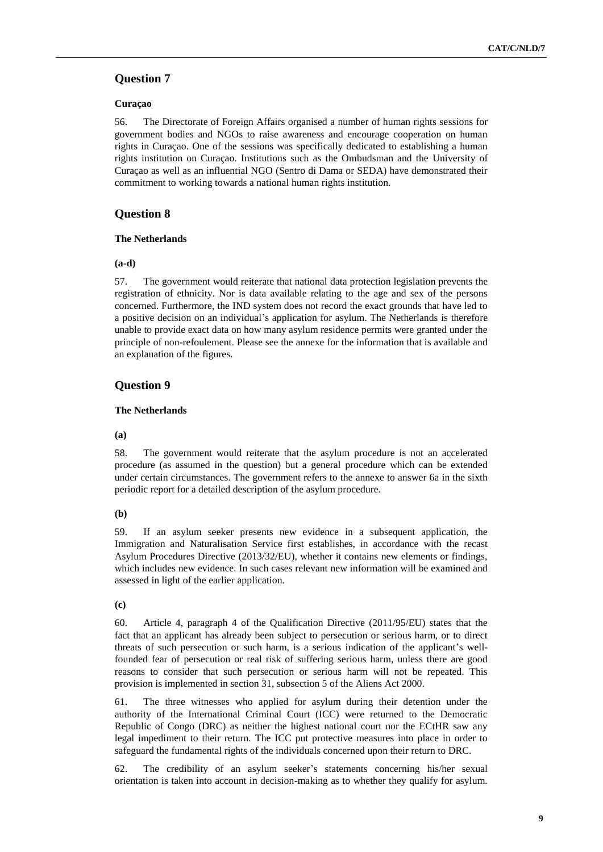### **Curaçao**

56. The Directorate of Foreign Affairs organised a number of human rights sessions for government bodies and NGOs to raise awareness and encourage cooperation on human rights in Curaçao. One of the sessions was specifically dedicated to establishing a human rights institution on Curaçao. Institutions such as the Ombudsman and the University of Curaçao as well as an influential NGO (Sentro di Dama or SEDA) have demonstrated their commitment to working towards a national human rights institution.

## **Question 8**

### **The Netherlands**

### **(a-d)**

57. The government would reiterate that national data protection legislation prevents the registration of ethnicity. Nor is data available relating to the age and sex of the persons concerned. Furthermore, the IND system does not record the exact grounds that have led to a positive decision on an individual's application for asylum. The Netherlands is therefore unable to provide exact data on how many asylum residence permits were granted under the principle of non-refoulement. Please see the annexe for the information that is available and an explanation of the figures.

## **Question 9**

## **The Netherlands**

## **(a)**

58. The government would reiterate that the asylum procedure is not an accelerated procedure (as assumed in the question) but a general procedure which can be extended under certain circumstances. The government refers to the annexe to answer 6a in the sixth periodic report for a detailed description of the asylum procedure.

## **(b)**

59. If an asylum seeker presents new evidence in a subsequent application, the Immigration and Naturalisation Service first establishes, in accordance with the recast Asylum Procedures Directive (2013/32/EU), whether it contains new elements or findings, which includes new evidence. In such cases relevant new information will be examined and assessed in light of the earlier application.

## **(c)**

60. Article 4, paragraph 4 of the Qualification Directive (2011/95/EU) states that the fact that an applicant has already been subject to persecution or serious harm, or to direct threats of such persecution or such harm, is a serious indication of the applicant's wellfounded fear of persecution or real risk of suffering serious harm, unless there are good reasons to consider that such persecution or serious harm will not be repeated. This provision is implemented in section 31, subsection 5 of the Aliens Act 2000.

61. The three witnesses who applied for asylum during their detention under the authority of the International Criminal Court (ICC) were returned to the Democratic Republic of Congo (DRC) as neither the highest national court nor the ECtHR saw any legal impediment to their return. The ICC put protective measures into place in order to safeguard the fundamental rights of the individuals concerned upon their return to DRC.

62. The credibility of an asylum seeker's statements concerning his/her sexual orientation is taken into account in decision-making as to whether they qualify for asylum.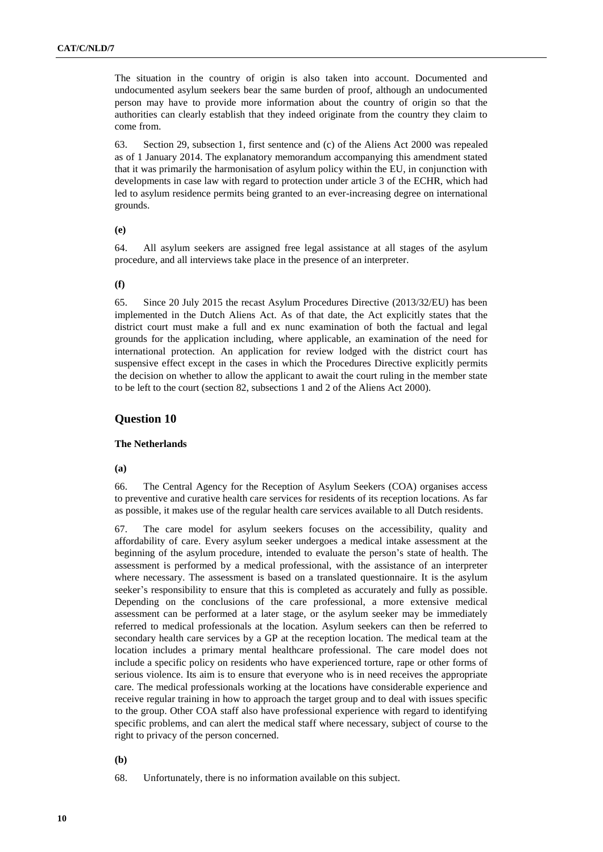The situation in the country of origin is also taken into account. Documented and undocumented asylum seekers bear the same burden of proof, although an undocumented person may have to provide more information about the country of origin so that the authorities can clearly establish that they indeed originate from the country they claim to come from.

63. Section 29, subsection 1, first sentence and (c) of the Aliens Act 2000 was repealed as of 1 January 2014. The explanatory memorandum accompanying this amendment stated that it was primarily the harmonisation of asylum policy within the EU, in conjunction with developments in case law with regard to protection under article 3 of the ECHR, which had led to asylum residence permits being granted to an ever-increasing degree on international grounds.

#### **(e)**

64. All asylum seekers are assigned free legal assistance at all stages of the asylum procedure, and all interviews take place in the presence of an interpreter.

#### **(f)**

65. Since 20 July 2015 the recast Asylum Procedures Directive (2013/32/EU) has been implemented in the Dutch Aliens Act. As of that date, the Act explicitly states that the district court must make a full and ex nunc examination of both the factual and legal grounds for the application including, where applicable, an examination of the need for international protection. An application for review lodged with the district court has suspensive effect except in the cases in which the Procedures Directive explicitly permits the decision on whether to allow the applicant to await the court ruling in the member state to be left to the court (section 82, subsections 1 and 2 of the Aliens Act 2000).

## **Question 10**

#### **The Netherlands**

**(a)**

66. The Central Agency for the Reception of Asylum Seekers (COA) organises access to preventive and curative health care services for residents of its reception locations. As far as possible, it makes use of the regular health care services available to all Dutch residents.

67. The care model for asylum seekers focuses on the accessibility, quality and affordability of care. Every asylum seeker undergoes a medical intake assessment at the beginning of the asylum procedure, intended to evaluate the person's state of health. The assessment is performed by a medical professional, with the assistance of an interpreter where necessary. The assessment is based on a translated questionnaire. It is the asylum seeker's responsibility to ensure that this is completed as accurately and fully as possible. Depending on the conclusions of the care professional, a more extensive medical assessment can be performed at a later stage, or the asylum seeker may be immediately referred to medical professionals at the location. Asylum seekers can then be referred to secondary health care services by a GP at the reception location. The medical team at the location includes a primary mental healthcare professional. The care model does not include a specific policy on residents who have experienced torture, rape or other forms of serious violence. Its aim is to ensure that everyone who is in need receives the appropriate care. The medical professionals working at the locations have considerable experience and receive regular training in how to approach the target group and to deal with issues specific to the group. Other COA staff also have professional experience with regard to identifying specific problems, and can alert the medical staff where necessary, subject of course to the right to privacy of the person concerned.

**(b)**

68. Unfortunately, there is no information available on this subject.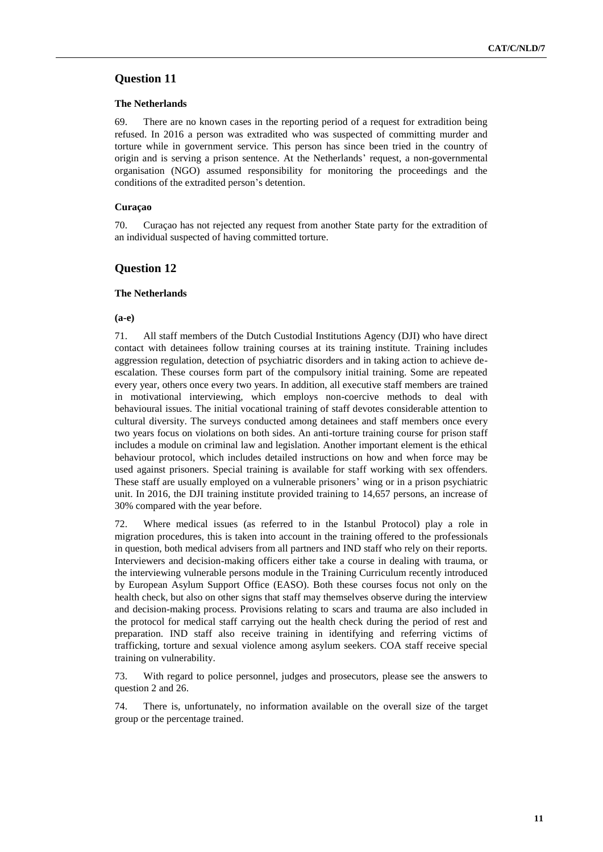### **The Netherlands**

69. There are no known cases in the reporting period of a request for extradition being refused. In 2016 a person was extradited who was suspected of committing murder and torture while in government service. This person has since been tried in the country of origin and is serving a prison sentence. At the Netherlands' request, a non-governmental organisation (NGO) assumed responsibility for monitoring the proceedings and the conditions of the extradited person's detention.

### **Curaçao**

70. Curaçao has not rejected any request from another State party for the extradition of an individual suspected of having committed torture.

## **Question 12**

#### **The Netherlands**

#### **(a-e)**

71. All staff members of the Dutch Custodial Institutions Agency (DJI) who have direct contact with detainees follow training courses at its training institute. Training includes aggression regulation, detection of psychiatric disorders and in taking action to achieve deescalation. These courses form part of the compulsory initial training. Some are repeated every year, others once every two years. In addition, all executive staff members are trained in motivational interviewing, which employs non-coercive methods to deal with behavioural issues. The initial vocational training of staff devotes considerable attention to cultural diversity. The surveys conducted among detainees and staff members once every two years focus on violations on both sides. An anti-torture training course for prison staff includes a module on criminal law and legislation. Another important element is the ethical behaviour protocol, which includes detailed instructions on how and when force may be used against prisoners. Special training is available for staff working with sex offenders. These staff are usually employed on a vulnerable prisoners' wing or in a prison psychiatric unit. In 2016, the DJI training institute provided training to 14,657 persons, an increase of 30% compared with the year before.

72. Where medical issues (as referred to in the Istanbul Protocol) play a role in migration procedures, this is taken into account in the training offered to the professionals in question, both medical advisers from all partners and IND staff who rely on their reports. Interviewers and decision-making officers either take a course in dealing with trauma, or the interviewing vulnerable persons module in the Training Curriculum recently introduced by European Asylum Support Office (EASO). Both these courses focus not only on the health check, but also on other signs that staff may themselves observe during the interview and decision-making process. Provisions relating to scars and trauma are also included in the protocol for medical staff carrying out the health check during the period of rest and preparation. IND staff also receive training in identifying and referring victims of trafficking, torture and sexual violence among asylum seekers. COA staff receive special training on vulnerability.

73. With regard to police personnel, judges and prosecutors, please see the answers to question 2 and 26.

74. There is, unfortunately, no information available on the overall size of the target group or the percentage trained.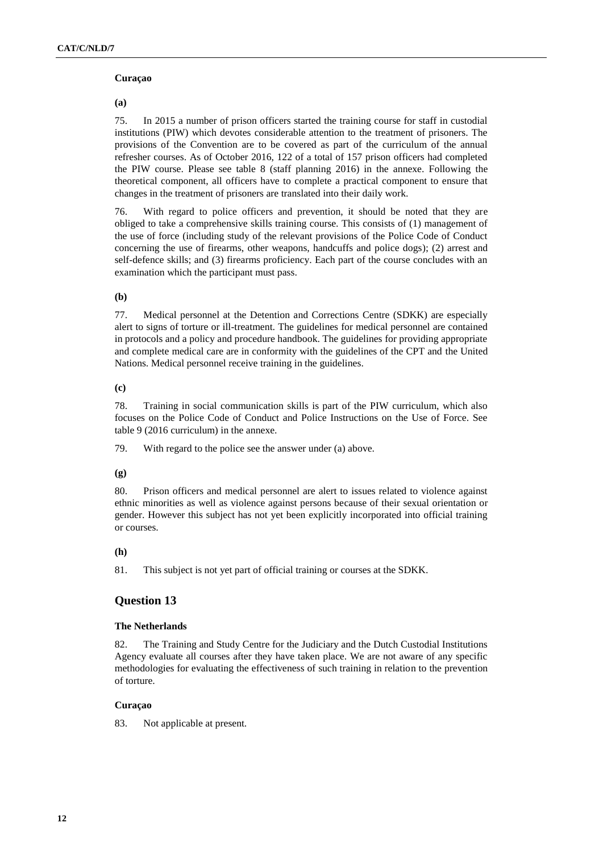#### **Curaçao**

### **(a)**

75. In 2015 a number of prison officers started the training course for staff in custodial institutions (PIW) which devotes considerable attention to the treatment of prisoners. The provisions of the Convention are to be covered as part of the curriculum of the annual refresher courses. As of October 2016, 122 of a total of 157 prison officers had completed the PIW course. Please see table 8 (staff planning 2016) in the annexe. Following the theoretical component, all officers have to complete a practical component to ensure that changes in the treatment of prisoners are translated into their daily work.

76. With regard to police officers and prevention, it should be noted that they are obliged to take a comprehensive skills training course. This consists of (1) management of the use of force (including study of the relevant provisions of the Police Code of Conduct concerning the use of firearms, other weapons, handcuffs and police dogs); (2) arrest and self-defence skills; and (3) firearms proficiency. Each part of the course concludes with an examination which the participant must pass.

### **(b)**

77. Medical personnel at the Detention and Corrections Centre (SDKK) are especially alert to signs of torture or ill-treatment. The guidelines for medical personnel are contained in protocols and a policy and procedure handbook. The guidelines for providing appropriate and complete medical care are in conformity with the guidelines of the CPT and the United Nations. Medical personnel receive training in the guidelines.

### **(c)**

78. Training in social communication skills is part of the PIW curriculum, which also focuses on the Police Code of Conduct and Police Instructions on the Use of Force. See table 9 (2016 curriculum) in the annexe.

79. With regard to the police see the answer under (a) above.

## **(g)**

80. Prison officers and medical personnel are alert to issues related to violence against ethnic minorities as well as violence against persons because of their sexual orientation or gender. However this subject has not yet been explicitly incorporated into official training or courses.

#### **(h)**

81. This subject is not yet part of official training or courses at the SDKK.

## **Question 13**

## **The Netherlands**

82. The Training and Study Centre for the Judiciary and the Dutch Custodial Institutions Agency evaluate all courses after they have taken place. We are not aware of any specific methodologies for evaluating the effectiveness of such training in relation to the prevention of torture.

## **Curaçao**

83. Not applicable at present.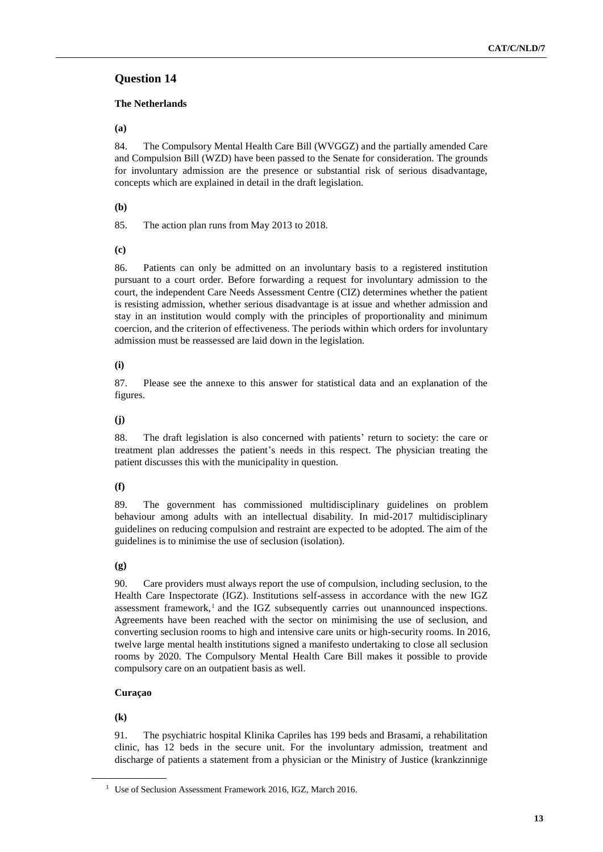## **The Netherlands**

**(a)**

84. The Compulsory Mental Health Care Bill (WVGGZ) and the partially amended Care and Compulsion Bill (WZD) have been passed to the Senate for consideration. The grounds for involuntary admission are the presence or substantial risk of serious disadvantage, concepts which are explained in detail in the draft legislation.

## **(b)**

85. The action plan runs from May 2013 to 2018.

**(c)**

86. Patients can only be admitted on an involuntary basis to a registered institution pursuant to a court order. Before forwarding a request for involuntary admission to the court, the independent Care Needs Assessment Centre (CIZ) determines whether the patient is resisting admission, whether serious disadvantage is at issue and whether admission and stay in an institution would comply with the principles of proportionality and minimum coercion, and the criterion of effectiveness. The periods within which orders for involuntary admission must be reassessed are laid down in the legislation.

## **(i)**

87. Please see the annexe to this answer for statistical data and an explanation of the figures.

## **(j)**

88. The draft legislation is also concerned with patients' return to society: the care or treatment plan addresses the patient's needs in this respect. The physician treating the patient discusses this with the municipality in question.

## **(f)**

89. The government has commissioned multidisciplinary guidelines on problem behaviour among adults with an intellectual disability. In mid-2017 multidisciplinary guidelines on reducing compulsion and restraint are expected to be adopted. The aim of the guidelines is to minimise the use of seclusion (isolation).

## **(g)**

90. Care providers must always report the use of compulsion, including seclusion, to the Health Care Inspectorate (IGZ). Institutions self-assess in accordance with the new IGZ assessment framework, $1$  and the IGZ subsequently carries out unannounced inspections. Agreements have been reached with the sector on minimising the use of seclusion, and converting seclusion rooms to high and intensive care units or high-security rooms. In 2016, twelve large mental health institutions signed a manifesto undertaking to close all seclusion rooms by 2020. The Compulsory Mental Health Care Bill makes it possible to provide compulsory care on an outpatient basis as well.

# **Curaçao**

## **(k)**

91. The psychiatric hospital Klinika Capriles has 199 beds and Brasami, a rehabilitation clinic, has 12 beds in the secure unit. For the involuntary admission, treatment and discharge of patients a statement from a physician or the Ministry of Justice (krankzinnige

<sup>&</sup>lt;sup>1</sup> Use of Seclusion Assessment Framework 2016, IGZ, March 2016.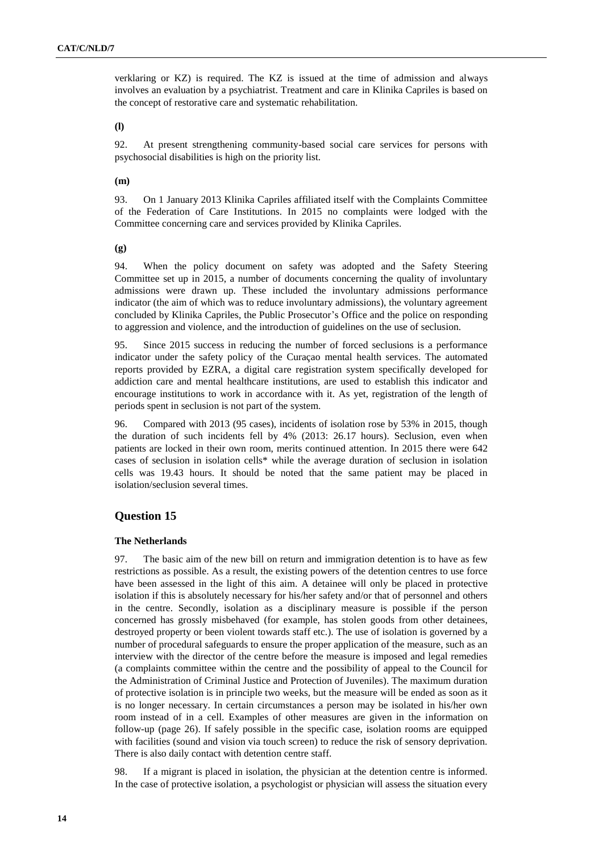verklaring or KZ) is required. The KZ is issued at the time of admission and always involves an evaluation by a psychiatrist. Treatment and care in Klinika Capriles is based on the concept of restorative care and systematic rehabilitation.

### **(l)**

92. At present strengthening community-based social care services for persons with psychosocial disabilities is high on the priority list.

### **(m)**

93. On 1 January 2013 Klinika Capriles affiliated itself with the Complaints Committee of the Federation of Care Institutions. In 2015 no complaints were lodged with the Committee concerning care and services provided by Klinika Capriles.

**(g)**

94. When the policy document on safety was adopted and the Safety Steering Committee set up in 2015, a number of documents concerning the quality of involuntary admissions were drawn up. These included the involuntary admissions performance indicator (the aim of which was to reduce involuntary admissions), the voluntary agreement concluded by Klinika Capriles, the Public Prosecutor's Office and the police on responding to aggression and violence, and the introduction of guidelines on the use of seclusion.

95. Since 2015 success in reducing the number of forced seclusions is a performance indicator under the safety policy of the Curaçao mental health services. The automated reports provided by EZRA, a digital care registration system specifically developed for addiction care and mental healthcare institutions, are used to establish this indicator and encourage institutions to work in accordance with it. As yet, registration of the length of periods spent in seclusion is not part of the system.

96. Compared with 2013 (95 cases), incidents of isolation rose by 53% in 2015, though the duration of such incidents fell by 4% (2013: 26.17 hours). Seclusion, even when patients are locked in their own room, merits continued attention. In 2015 there were 642 cases of seclusion in isolation cells\* while the average duration of seclusion in isolation cells was 19.43 hours. It should be noted that the same patient may be placed in isolation/seclusion several times.

# **Question 15**

## **The Netherlands**

97. The basic aim of the new bill on return and immigration detention is to have as few restrictions as possible. As a result, the existing powers of the detention centres to use force have been assessed in the light of this aim. A detainee will only be placed in protective isolation if this is absolutely necessary for his/her safety and/or that of personnel and others in the centre. Secondly, isolation as a disciplinary measure is possible if the person concerned has grossly misbehaved (for example, has stolen goods from other detainees, destroyed property or been violent towards staff etc.). The use of isolation is governed by a number of procedural safeguards to ensure the proper application of the measure, such as an interview with the director of the centre before the measure is imposed and legal remedies (a complaints committee within the centre and the possibility of appeal to the Council for the Administration of Criminal Justice and Protection of Juveniles). The maximum duration of protective isolation is in principle two weeks, but the measure will be ended as soon as it is no longer necessary. In certain circumstances a person may be isolated in his/her own room instead of in a cell. Examples of other measures are given in the information on follow-up (page 26). If safely possible in the specific case, isolation rooms are equipped with facilities (sound and vision via touch screen) to reduce the risk of sensory deprivation. There is also daily contact with detention centre staff.

98. If a migrant is placed in isolation, the physician at the detention centre is informed. In the case of protective isolation, a psychologist or physician will assess the situation every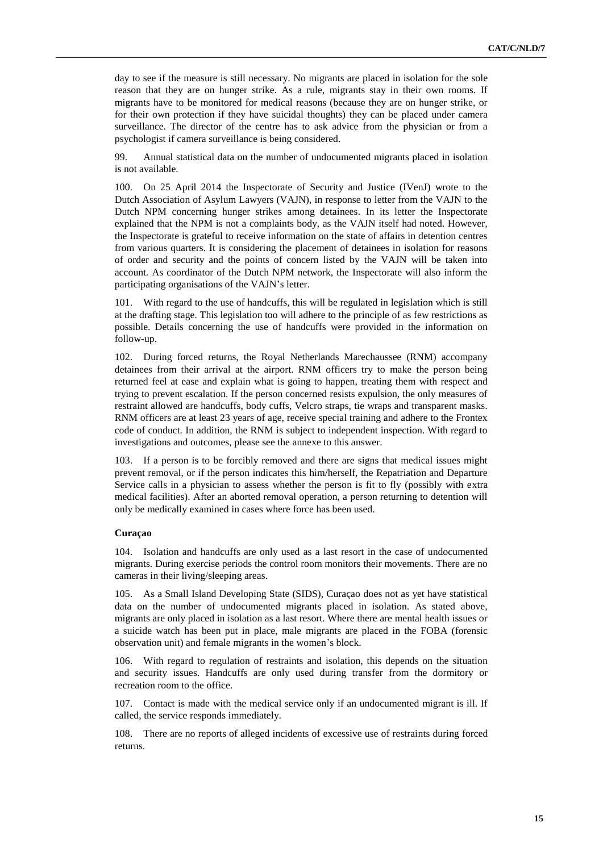day to see if the measure is still necessary. No migrants are placed in isolation for the sole reason that they are on hunger strike. As a rule, migrants stay in their own rooms. If migrants have to be monitored for medical reasons (because they are on hunger strike, or for their own protection if they have suicidal thoughts) they can be placed under camera surveillance. The director of the centre has to ask advice from the physician or from a psychologist if camera surveillance is being considered.

99. Annual statistical data on the number of undocumented migrants placed in isolation is not available.

100. On 25 April 2014 the Inspectorate of Security and Justice (IVenJ) wrote to the Dutch Association of Asylum Lawyers (VAJN), in response to letter from the VAJN to the Dutch NPM concerning hunger strikes among detainees. In its letter the Inspectorate explained that the NPM is not a complaints body, as the VAJN itself had noted. However, the Inspectorate is grateful to receive information on the state of affairs in detention centres from various quarters. It is considering the placement of detainees in isolation for reasons of order and security and the points of concern listed by the VAJN will be taken into account. As coordinator of the Dutch NPM network, the Inspectorate will also inform the participating organisations of the VAJN's letter.

101. With regard to the use of handcuffs, this will be regulated in legislation which is still at the drafting stage. This legislation too will adhere to the principle of as few restrictions as possible. Details concerning the use of handcuffs were provided in the information on follow-up.

102. During forced returns, the Royal Netherlands Marechaussee (RNM) accompany detainees from their arrival at the airport. RNM officers try to make the person being returned feel at ease and explain what is going to happen, treating them with respect and trying to prevent escalation. If the person concerned resists expulsion, the only measures of restraint allowed are handcuffs, body cuffs, Velcro straps, tie wraps and transparent masks. RNM officers are at least 23 years of age, receive special training and adhere to the Frontex code of conduct. In addition, the RNM is subject to independent inspection. With regard to investigations and outcomes, please see the annexe to this answer.

103. If a person is to be forcibly removed and there are signs that medical issues might prevent removal, or if the person indicates this him/herself, the Repatriation and Departure Service calls in a physician to assess whether the person is fit to fly (possibly with extra medical facilities). After an aborted removal operation, a person returning to detention will only be medically examined in cases where force has been used.

#### **Curaçao**

104. Isolation and handcuffs are only used as a last resort in the case of undocumented migrants. During exercise periods the control room monitors their movements. There are no cameras in their living/sleeping areas.

105. As a Small Island Developing State (SIDS), Curaçao does not as yet have statistical data on the number of undocumented migrants placed in isolation. As stated above, migrants are only placed in isolation as a last resort. Where there are mental health issues or a suicide watch has been put in place, male migrants are placed in the FOBA (forensic observation unit) and female migrants in the women's block.

106. With regard to regulation of restraints and isolation, this depends on the situation and security issues. Handcuffs are only used during transfer from the dormitory or recreation room to the office.

107. Contact is made with the medical service only if an undocumented migrant is ill. If called, the service responds immediately.

108. There are no reports of alleged incidents of excessive use of restraints during forced returns.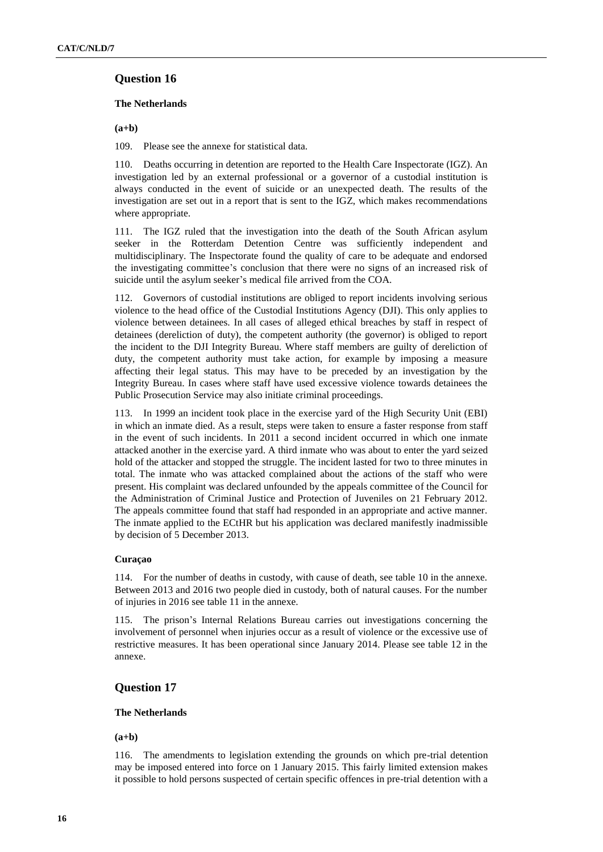#### **The Netherlands**

**(a+b)**

109. Please see the annexe for statistical data.

110. Deaths occurring in detention are reported to the Health Care Inspectorate (IGZ). An investigation led by an external professional or a governor of a custodial institution is always conducted in the event of suicide or an unexpected death. The results of the investigation are set out in a report that is sent to the IGZ, which makes recommendations where appropriate.

111. The IGZ ruled that the investigation into the death of the South African asylum seeker in the Rotterdam Detention Centre was sufficiently independent and multidisciplinary. The Inspectorate found the quality of care to be adequate and endorsed the investigating committee's conclusion that there were no signs of an increased risk of suicide until the asylum seeker's medical file arrived from the COA.

112. Governors of custodial institutions are obliged to report incidents involving serious violence to the head office of the Custodial Institutions Agency (DJI). This only applies to violence between detainees. In all cases of alleged ethical breaches by staff in respect of detainees (dereliction of duty), the competent authority (the governor) is obliged to report the incident to the DJI Integrity Bureau. Where staff members are guilty of dereliction of duty, the competent authority must take action, for example by imposing a measure affecting their legal status. This may have to be preceded by an investigation by the Integrity Bureau. In cases where staff have used excessive violence towards detainees the Public Prosecution Service may also initiate criminal proceedings.

113. In 1999 an incident took place in the exercise yard of the High Security Unit (EBI) in which an inmate died. As a result, steps were taken to ensure a faster response from staff in the event of such incidents. In 2011 a second incident occurred in which one inmate attacked another in the exercise yard. A third inmate who was about to enter the yard seized hold of the attacker and stopped the struggle. The incident lasted for two to three minutes in total. The inmate who was attacked complained about the actions of the staff who were present. His complaint was declared unfounded by the appeals committee of the Council for the Administration of Criminal Justice and Protection of Juveniles on 21 February 2012. The appeals committee found that staff had responded in an appropriate and active manner. The inmate applied to the ECtHR but his application was declared manifestly inadmissible by decision of 5 December 2013.

## **Curaçao**

114. For the number of deaths in custody, with cause of death, see table 10 in the annexe. Between 2013 and 2016 two people died in custody, both of natural causes. For the number of injuries in 2016 see table 11 in the annexe.

115. The prison's Internal Relations Bureau carries out investigations concerning the involvement of personnel when injuries occur as a result of violence or the excessive use of restrictive measures. It has been operational since January 2014. Please see table 12 in the annexe.

## **Question 17**

#### **The Netherlands**

**(a+b)**

116. The amendments to legislation extending the grounds on which pre-trial detention may be imposed entered into force on 1 January 2015. This fairly limited extension makes it possible to hold persons suspected of certain specific offences in pre-trial detention with a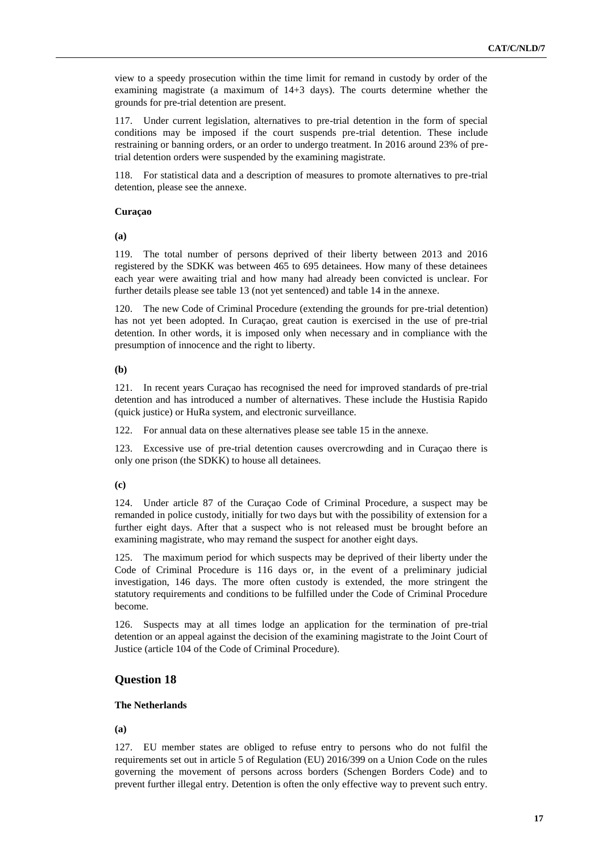view to a speedy prosecution within the time limit for remand in custody by order of the examining magistrate (a maximum of 14+3 days). The courts determine whether the grounds for pre-trial detention are present.

117. Under current legislation, alternatives to pre-trial detention in the form of special conditions may be imposed if the court suspends pre-trial detention. These include restraining or banning orders, or an order to undergo treatment. In 2016 around 23% of pretrial detention orders were suspended by the examining magistrate.

118. For statistical data and a description of measures to promote alternatives to pre-trial detention, please see the annexe.

#### **Curaçao**

**(a)**

119. The total number of persons deprived of their liberty between 2013 and 2016 registered by the SDKK was between 465 to 695 detainees. How many of these detainees each year were awaiting trial and how many had already been convicted is unclear. For further details please see table 13 (not yet sentenced) and table 14 in the annexe.

120. The new Code of Criminal Procedure (extending the grounds for pre-trial detention) has not yet been adopted. In Curaçao, great caution is exercised in the use of pre-trial detention. In other words, it is imposed only when necessary and in compliance with the presumption of innocence and the right to liberty.

### **(b)**

121. In recent years Curaçao has recognised the need for improved standards of pre-trial detention and has introduced a number of alternatives. These include the Hustisia Rapido (quick justice) or HuRa system, and electronic surveillance.

122. For annual data on these alternatives please see table 15 in the annexe.

123. Excessive use of pre-trial detention causes overcrowding and in Curaçao there is only one prison (the SDKK) to house all detainees.

#### **(c)**

124. Under article 87 of the Curaçao Code of Criminal Procedure, a suspect may be remanded in police custody, initially for two days but with the possibility of extension for a further eight days. After that a suspect who is not released must be brought before an examining magistrate, who may remand the suspect for another eight days.

125. The maximum period for which suspects may be deprived of their liberty under the Code of Criminal Procedure is 116 days or, in the event of a preliminary judicial investigation, 146 days. The more often custody is extended, the more stringent the statutory requirements and conditions to be fulfilled under the Code of Criminal Procedure become.

126. Suspects may at all times lodge an application for the termination of pre-trial detention or an appeal against the decision of the examining magistrate to the Joint Court of Justice (article 104 of the Code of Criminal Procedure).

## **Question 18**

## **The Netherlands**

**(a)**

127. EU member states are obliged to refuse entry to persons who do not fulfil the requirements set out in article 5 of Regulation (EU) 2016/399 on a Union Code on the rules governing the movement of persons across borders (Schengen Borders Code) and to prevent further illegal entry. Detention is often the only effective way to prevent such entry.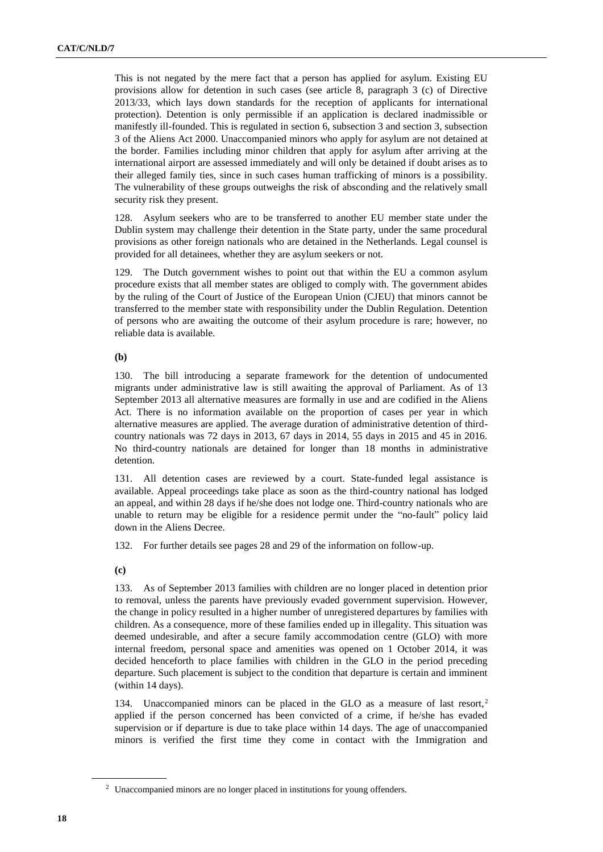This is not negated by the mere fact that a person has applied for asylum. Existing EU provisions allow for detention in such cases (see article 8, paragraph 3 (c) of Directive 2013/33, which lays down standards for the reception of applicants for international protection). Detention is only permissible if an application is declared inadmissible or manifestly ill-founded. This is regulated in section 6, subsection 3 and section 3, subsection 3 of the Aliens Act 2000. Unaccompanied minors who apply for asylum are not detained at the border. Families including minor children that apply for asylum after arriving at the international airport are assessed immediately and will only be detained if doubt arises as to their alleged family ties, since in such cases human trafficking of minors is a possibility. The vulnerability of these groups outweighs the risk of absconding and the relatively small security risk they present.

128. Asylum seekers who are to be transferred to another EU member state under the Dublin system may challenge their detention in the State party, under the same procedural provisions as other foreign nationals who are detained in the Netherlands. Legal counsel is provided for all detainees, whether they are asylum seekers or not.

129. The Dutch government wishes to point out that within the EU a common asylum procedure exists that all member states are obliged to comply with. The government abides by the ruling of the Court of Justice of the European Union (CJEU) that minors cannot be transferred to the member state with responsibility under the Dublin Regulation. Detention of persons who are awaiting the outcome of their asylum procedure is rare; however, no reliable data is available.

#### **(b)**

130. The bill introducing a separate framework for the detention of undocumented migrants under administrative law is still awaiting the approval of Parliament. As of 13 September 2013 all alternative measures are formally in use and are codified in the Aliens Act. There is no information available on the proportion of cases per year in which alternative measures are applied. The average duration of administrative detention of thirdcountry nationals was 72 days in 2013, 67 days in 2014, 55 days in 2015 and 45 in 2016. No third-country nationals are detained for longer than 18 months in administrative detention.

131. All detention cases are reviewed by a court. State-funded legal assistance is available. Appeal proceedings take place as soon as the third-country national has lodged an appeal, and within 28 days if he/she does not lodge one. Third-country nationals who are unable to return may be eligible for a residence permit under the "no-fault" policy laid down in the Aliens Decree.

132. For further details see pages 28 and 29 of the information on follow-up.

**(c)**

133. As of September 2013 families with children are no longer placed in detention prior to removal, unless the parents have previously evaded government supervision. However, the change in policy resulted in a higher number of unregistered departures by families with children. As a consequence, more of these families ended up in illegality. This situation was deemed undesirable, and after a secure family accommodation centre (GLO) with more internal freedom, personal space and amenities was opened on 1 October 2014, it was decided henceforth to place families with children in the GLO in the period preceding departure. Such placement is subject to the condition that departure is certain and imminent (within 14 days).

134. Unaccompanied minors can be placed in the GLO as a measure of last resort,<sup>2</sup> applied if the person concerned has been convicted of a crime, if he/she has evaded supervision or if departure is due to take place within 14 days. The age of unaccompanied minors is verified the first time they come in contact with the Immigration and

<sup>&</sup>lt;sup>2</sup> Unaccompanied minors are no longer placed in institutions for young offenders.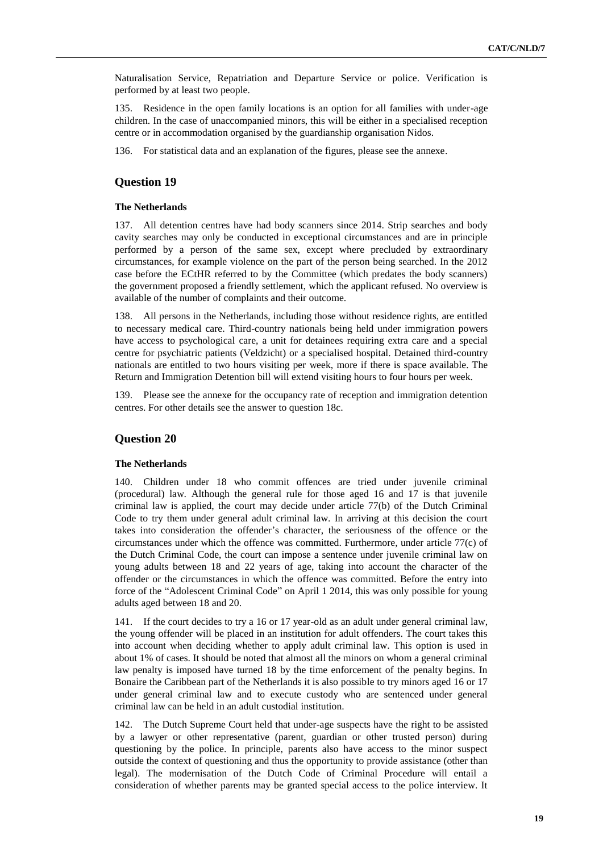Naturalisation Service, Repatriation and Departure Service or police. Verification is performed by at least two people.

135. Residence in the open family locations is an option for all families with under-age children. In the case of unaccompanied minors, this will be either in a specialised reception centre or in accommodation organised by the guardianship organisation Nidos.

136. For statistical data and an explanation of the figures, please see the annexe.

# **Question 19**

## **The Netherlands**

137. All detention centres have had body scanners since 2014. Strip searches and body cavity searches may only be conducted in exceptional circumstances and are in principle performed by a person of the same sex, except where precluded by extraordinary circumstances, for example violence on the part of the person being searched. In the 2012 case before the ECtHR referred to by the Committee (which predates the body scanners) the government proposed a friendly settlement, which the applicant refused. No overview is available of the number of complaints and their outcome.

138. All persons in the Netherlands, including those without residence rights, are entitled to necessary medical care. Third-country nationals being held under immigration powers have access to psychological care, a unit for detainees requiring extra care and a special centre for psychiatric patients (Veldzicht) or a specialised hospital. Detained third-country nationals are entitled to two hours visiting per week, more if there is space available. The Return and Immigration Detention bill will extend visiting hours to four hours per week.

139. Please see the annexe for the occupancy rate of reception and immigration detention centres. For other details see the answer to question 18c.

## **Question 20**

## **The Netherlands**

140. Children under 18 who commit offences are tried under juvenile criminal (procedural) law. Although the general rule for those aged 16 and 17 is that juvenile criminal law is applied, the court may decide under article 77(b) of the Dutch Criminal Code to try them under general adult criminal law. In arriving at this decision the court takes into consideration the offender's character, the seriousness of the offence or the circumstances under which the offence was committed. Furthermore, under article 77(c) of the Dutch Criminal Code, the court can impose a sentence under juvenile criminal law on young adults between 18 and 22 years of age, taking into account the character of the offender or the circumstances in which the offence was committed. Before the entry into force of the "Adolescent Criminal Code" on April 1 2014, this was only possible for young adults aged between 18 and 20.

141. If the court decides to try a 16 or 17 year-old as an adult under general criminal law, the young offender will be placed in an institution for adult offenders. The court takes this into account when deciding whether to apply adult criminal law. This option is used in about 1% of cases. It should be noted that almost all the minors on whom a general criminal law penalty is imposed have turned 18 by the time enforcement of the penalty begins. In Bonaire the Caribbean part of the Netherlands it is also possible to try minors aged 16 or 17 under general criminal law and to execute custody who are sentenced under general criminal law can be held in an adult custodial institution.

142. The Dutch Supreme Court held that under-age suspects have the right to be assisted by a lawyer or other representative (parent, guardian or other trusted person) during questioning by the police. In principle, parents also have access to the minor suspect outside the context of questioning and thus the opportunity to provide assistance (other than legal). The modernisation of the Dutch Code of Criminal Procedure will entail a consideration of whether parents may be granted special access to the police interview. It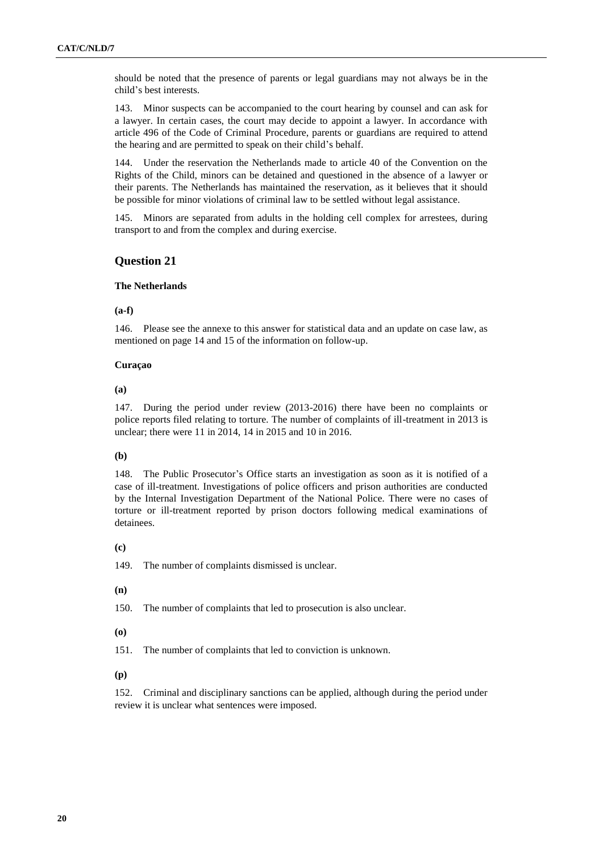should be noted that the presence of parents or legal guardians may not always be in the child's best interests.

143. Minor suspects can be accompanied to the court hearing by counsel and can ask for a lawyer. In certain cases, the court may decide to appoint a lawyer. In accordance with article 496 of the Code of Criminal Procedure, parents or guardians are required to attend the hearing and are permitted to speak on their child's behalf.

144. Under the reservation the Netherlands made to article 40 of the Convention on the Rights of the Child, minors can be detained and questioned in the absence of a lawyer or their parents. The Netherlands has maintained the reservation, as it believes that it should be possible for minor violations of criminal law to be settled without legal assistance.

145. Minors are separated from adults in the holding cell complex for arrestees, during transport to and from the complex and during exercise.

## **Question 21**

#### **The Netherlands**

#### **(a-f)**

146. Please see the annexe to this answer for statistical data and an update on case law, as mentioned on page 14 and 15 of the information on follow-up.

#### **Curaçao**

### **(a)**

147. During the period under review (2013-2016) there have been no complaints or police reports filed relating to torture. The number of complaints of ill-treatment in 2013 is unclear; there were 11 in 2014, 14 in 2015 and 10 in 2016.

#### **(b)**

148. The Public Prosecutor's Office starts an investigation as soon as it is notified of a case of ill-treatment. Investigations of police officers and prison authorities are conducted by the Internal Investigation Department of the National Police. There were no cases of torture or ill-treatment reported by prison doctors following medical examinations of detainees.

### **(c)**

149. The number of complaints dismissed is unclear.

#### **(n)**

150. The number of complaints that led to prosecution is also unclear.

#### **(o)**

151. The number of complaints that led to conviction is unknown.

#### **(p)**

152. Criminal and disciplinary sanctions can be applied, although during the period under review it is unclear what sentences were imposed.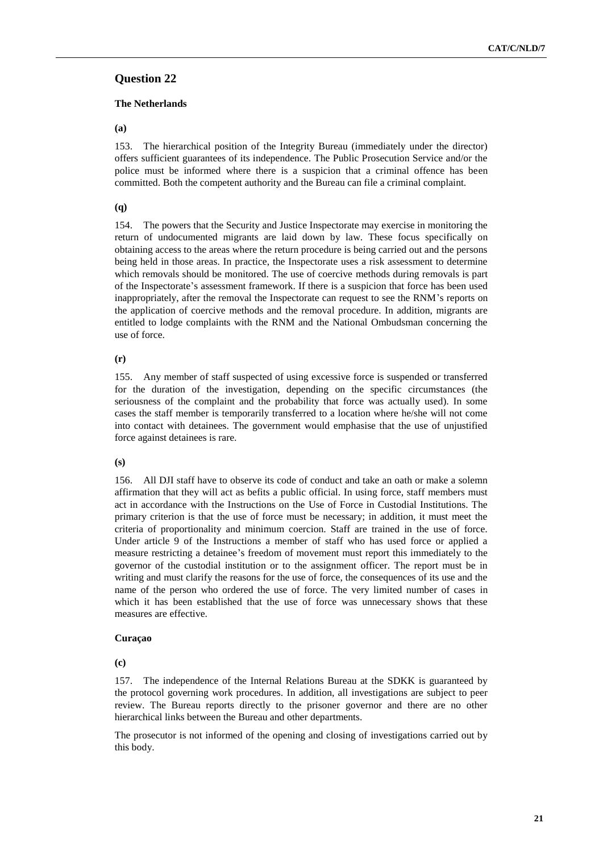## **The Netherlands**

## **(a)**

153. The hierarchical position of the Integrity Bureau (immediately under the director) offers sufficient guarantees of its independence. The Public Prosecution Service and/or the police must be informed where there is a suspicion that a criminal offence has been committed. Both the competent authority and the Bureau can file a criminal complaint.

## **(q)**

154. The powers that the Security and Justice Inspectorate may exercise in monitoring the return of undocumented migrants are laid down by law. These focus specifically on obtaining access to the areas where the return procedure is being carried out and the persons being held in those areas. In practice, the Inspectorate uses a risk assessment to determine which removals should be monitored. The use of coercive methods during removals is part of the Inspectorate's assessment framework. If there is a suspicion that force has been used inappropriately, after the removal the Inspectorate can request to see the RNM's reports on the application of coercive methods and the removal procedure. In addition, migrants are entitled to lodge complaints with the RNM and the National Ombudsman concerning the use of force.

## **(r)**

155. Any member of staff suspected of using excessive force is suspended or transferred for the duration of the investigation, depending on the specific circumstances (the seriousness of the complaint and the probability that force was actually used). In some cases the staff member is temporarily transferred to a location where he/she will not come into contact with detainees. The government would emphasise that the use of unjustified force against detainees is rare.

## **(s)**

156. All DJI staff have to observe its code of conduct and take an oath or make a solemn affirmation that they will act as befits a public official. In using force, staff members must act in accordance with the Instructions on the Use of Force in Custodial Institutions. The primary criterion is that the use of force must be necessary; in addition, it must meet the criteria of proportionality and minimum coercion. Staff are trained in the use of force. Under article 9 of the Instructions a member of staff who has used force or applied a measure restricting a detainee's freedom of movement must report this immediately to the governor of the custodial institution or to the assignment officer. The report must be in writing and must clarify the reasons for the use of force, the consequences of its use and the name of the person who ordered the use of force. The very limited number of cases in which it has been established that the use of force was unnecessary shows that these measures are effective.

## **Curaçao**

**(c)**

157. The independence of the Internal Relations Bureau at the SDKK is guaranteed by the protocol governing work procedures. In addition, all investigations are subject to peer review. The Bureau reports directly to the prisoner governor and there are no other hierarchical links between the Bureau and other departments.

The prosecutor is not informed of the opening and closing of investigations carried out by this body.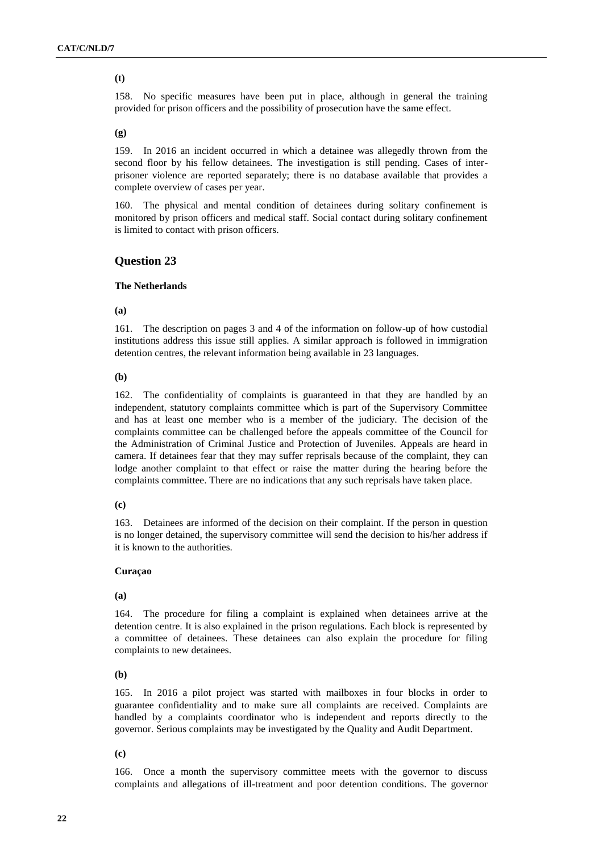## **(t)**

158. No specific measures have been put in place, although in general the training provided for prison officers and the possibility of prosecution have the same effect.

#### **(g)**

159. In 2016 an incident occurred in which a detainee was allegedly thrown from the second floor by his fellow detainees. The investigation is still pending. Cases of interprisoner violence are reported separately; there is no database available that provides a complete overview of cases per year.

160. The physical and mental condition of detainees during solitary confinement is monitored by prison officers and medical staff. Social contact during solitary confinement is limited to contact with prison officers.

## **Question 23**

#### **The Netherlands**

**(a)**

161. The description on pages 3 and 4 of the information on follow-up of how custodial institutions address this issue still applies. A similar approach is followed in immigration detention centres, the relevant information being available in 23 languages.

#### **(b)**

162. The confidentiality of complaints is guaranteed in that they are handled by an independent, statutory complaints committee which is part of the Supervisory Committee and has at least one member who is a member of the judiciary. The decision of the complaints committee can be challenged before the appeals committee of the Council for the Administration of Criminal Justice and Protection of Juveniles. Appeals are heard in camera. If detainees fear that they may suffer reprisals because of the complaint, they can lodge another complaint to that effect or raise the matter during the hearing before the complaints committee. There are no indications that any such reprisals have taken place.

#### **(c)**

163. Detainees are informed of the decision on their complaint. If the person in question is no longer detained, the supervisory committee will send the decision to his/her address if it is known to the authorities.

#### **Curaçao**

**(a)**

164. The procedure for filing a complaint is explained when detainees arrive at the detention centre. It is also explained in the prison regulations. Each block is represented by a committee of detainees. These detainees can also explain the procedure for filing complaints to new detainees.

#### **(b)**

165. In 2016 a pilot project was started with mailboxes in four blocks in order to guarantee confidentiality and to make sure all complaints are received. Complaints are handled by a complaints coordinator who is independent and reports directly to the governor. Serious complaints may be investigated by the Quality and Audit Department.

## **(c)**

166. Once a month the supervisory committee meets with the governor to discuss complaints and allegations of ill-treatment and poor detention conditions. The governor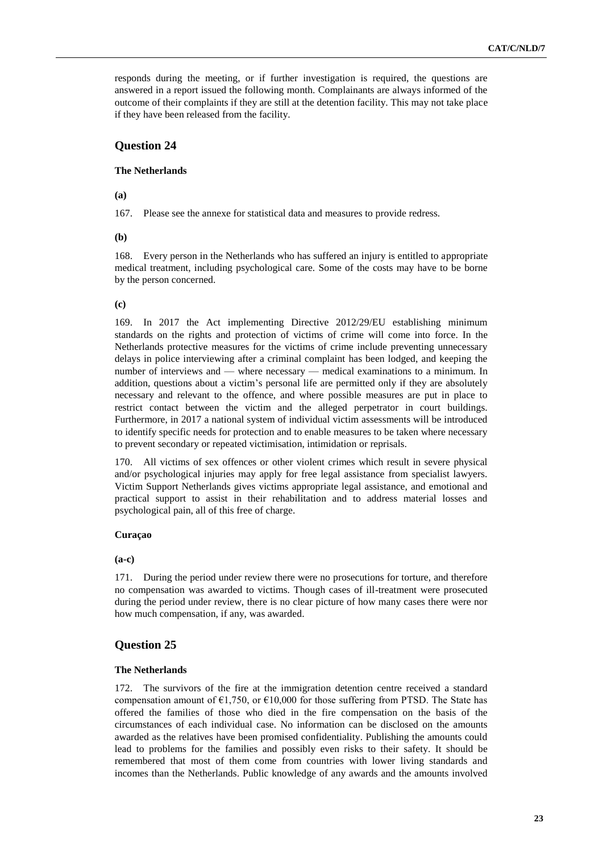responds during the meeting, or if further investigation is required, the questions are answered in a report issued the following month. Complainants are always informed of the outcome of their complaints if they are still at the detention facility. This may not take place if they have been released from the facility.

# **Question 24**

## **The Netherlands**

**(a)**

167. Please see the annexe for statistical data and measures to provide redress.

**(b)**

168. Every person in the Netherlands who has suffered an injury is entitled to appropriate medical treatment, including psychological care. Some of the costs may have to be borne by the person concerned.

### **(c)**

169. In 2017 the Act implementing Directive 2012/29/EU establishing minimum standards on the rights and protection of victims of crime will come into force. In the Netherlands protective measures for the victims of crime include preventing unnecessary delays in police interviewing after a criminal complaint has been lodged, and keeping the number of interviews and — where necessary — medical examinations to a minimum. In addition, questions about a victim's personal life are permitted only if they are absolutely necessary and relevant to the offence, and where possible measures are put in place to restrict contact between the victim and the alleged perpetrator in court buildings. Furthermore, in 2017 a national system of individual victim assessments will be introduced to identify specific needs for protection and to enable measures to be taken where necessary to prevent secondary or repeated victimisation, intimidation or reprisals.

170. All victims of sex offences or other violent crimes which result in severe physical and/or psychological injuries may apply for free legal assistance from specialist lawyers. Victim Support Netherlands gives victims appropriate legal assistance, and emotional and practical support to assist in their rehabilitation and to address material losses and psychological pain, all of this free of charge.

## **Curaçao**

**(a-c)**

171. During the period under review there were no prosecutions for torture, and therefore no compensation was awarded to victims. Though cases of ill-treatment were prosecuted during the period under review, there is no clear picture of how many cases there were nor how much compensation, if any, was awarded.

# **Question 25**

## **The Netherlands**

172. The survivors of the fire at the immigration detention centre received a standard compensation amount of  $\epsilon$ 1,750, or  $\epsilon$ 10,000 for those suffering from PTSD. The State has offered the families of those who died in the fire compensation on the basis of the circumstances of each individual case. No information can be disclosed on the amounts awarded as the relatives have been promised confidentiality. Publishing the amounts could lead to problems for the families and possibly even risks to their safety. It should be remembered that most of them come from countries with lower living standards and incomes than the Netherlands. Public knowledge of any awards and the amounts involved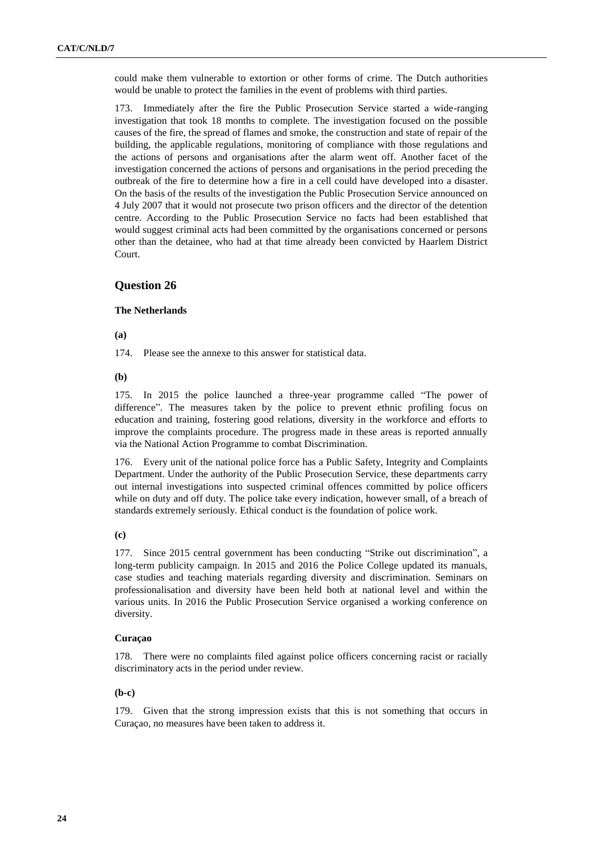could make them vulnerable to extortion or other forms of crime. The Dutch authorities would be unable to protect the families in the event of problems with third parties.

173. Immediately after the fire the Public Prosecution Service started a wide-ranging investigation that took 18 months to complete. The investigation focused on the possible causes of the fire, the spread of flames and smoke, the construction and state of repair of the building, the applicable regulations, monitoring of compliance with those regulations and the actions of persons and organisations after the alarm went off. Another facet of the investigation concerned the actions of persons and organisations in the period preceding the outbreak of the fire to determine how a fire in a cell could have developed into a disaster. On the basis of the results of the investigation the Public Prosecution Service announced on 4 July 2007 that it would not prosecute two prison officers and the director of the detention centre. According to the Public Prosecution Service no facts had been established that would suggest criminal acts had been committed by the organisations concerned or persons other than the detainee, who had at that time already been convicted by Haarlem District Court.

# **Question 26**

## **The Netherlands**

**(a)**

174. Please see the annexe to this answer for statistical data.

**(b)**

175. In 2015 the police launched a three-year programme called "The power of difference". The measures taken by the police to prevent ethnic profiling focus on education and training, fostering good relations, diversity in the workforce and efforts to improve the complaints procedure. The progress made in these areas is reported annually via the National Action Programme to combat Discrimination.

176. Every unit of the national police force has a Public Safety, Integrity and Complaints Department. Under the authority of the Public Prosecution Service, these departments carry out internal investigations into suspected criminal offences committed by police officers while on duty and off duty. The police take every indication, however small, of a breach of standards extremely seriously. Ethical conduct is the foundation of police work.

## **(c)**

177. Since 2015 central government has been conducting "Strike out discrimination", a long-term publicity campaign. In 2015 and 2016 the Police College updated its manuals, case studies and teaching materials regarding diversity and discrimination. Seminars on professionalisation and diversity have been held both at national level and within the various units. In 2016 the Public Prosecution Service organised a working conference on diversity.

## **Curaçao**

178. There were no complaints filed against police officers concerning racist or racially discriminatory acts in the period under review.

#### **(b-c)**

179. Given that the strong impression exists that this is not something that occurs in Curaçao, no measures have been taken to address it.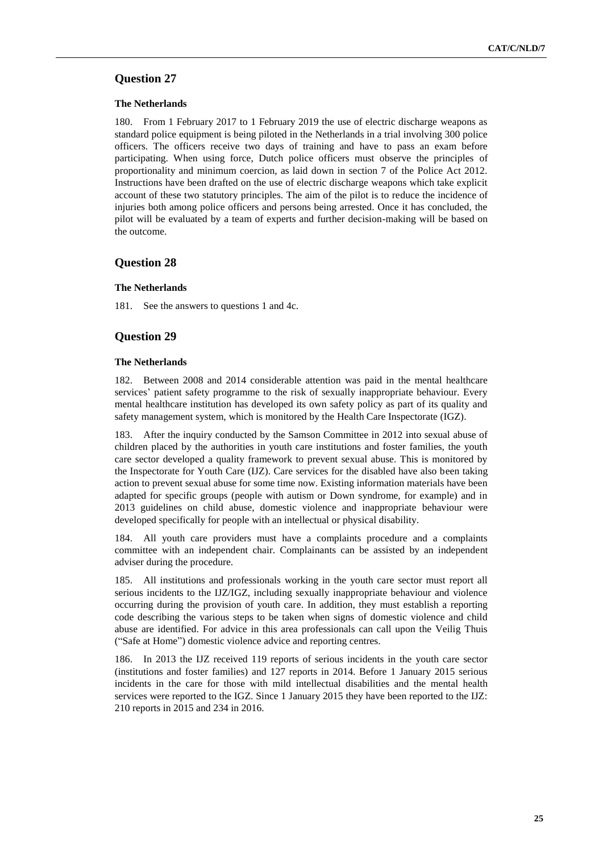### **The Netherlands**

180. From 1 February 2017 to 1 February 2019 the use of electric discharge weapons as standard police equipment is being piloted in the Netherlands in a trial involving 300 police officers. The officers receive two days of training and have to pass an exam before participating. When using force, Dutch police officers must observe the principles of proportionality and minimum coercion, as laid down in section 7 of the Police Act 2012. Instructions have been drafted on the use of electric discharge weapons which take explicit account of these two statutory principles. The aim of the pilot is to reduce the incidence of injuries both among police officers and persons being arrested. Once it has concluded, the pilot will be evaluated by a team of experts and further decision-making will be based on the outcome.

## **Question 28**

### **The Netherlands**

181. See the answers to questions 1 and 4c.

## **Question 29**

### **The Netherlands**

182. Between 2008 and 2014 considerable attention was paid in the mental healthcare services' patient safety programme to the risk of sexually inappropriate behaviour. Every mental healthcare institution has developed its own safety policy as part of its quality and safety management system, which is monitored by the Health Care Inspectorate (IGZ).

183. After the inquiry conducted by the Samson Committee in 2012 into sexual abuse of children placed by the authorities in youth care institutions and foster families, the youth care sector developed a quality framework to prevent sexual abuse. This is monitored by the Inspectorate for Youth Care (IJZ). Care services for the disabled have also been taking action to prevent sexual abuse for some time now. Existing information materials have been adapted for specific groups (people with autism or Down syndrome, for example) and in 2013 guidelines on child abuse, domestic violence and inappropriate behaviour were developed specifically for people with an intellectual or physical disability.

184. All youth care providers must have a complaints procedure and a complaints committee with an independent chair. Complainants can be assisted by an independent adviser during the procedure.

185. All institutions and professionals working in the youth care sector must report all serious incidents to the IJZ/IGZ, including sexually inappropriate behaviour and violence occurring during the provision of youth care. In addition, they must establish a reporting code describing the various steps to be taken when signs of domestic violence and child abuse are identified. For advice in this area professionals can call upon the Veilig Thuis ("Safe at Home") domestic violence advice and reporting centres.

186. In 2013 the IJZ received 119 reports of serious incidents in the youth care sector (institutions and foster families) and 127 reports in 2014. Before 1 January 2015 serious incidents in the care for those with mild intellectual disabilities and the mental health services were reported to the IGZ. Since 1 January 2015 they have been reported to the IJZ: 210 reports in 2015 and 234 in 2016.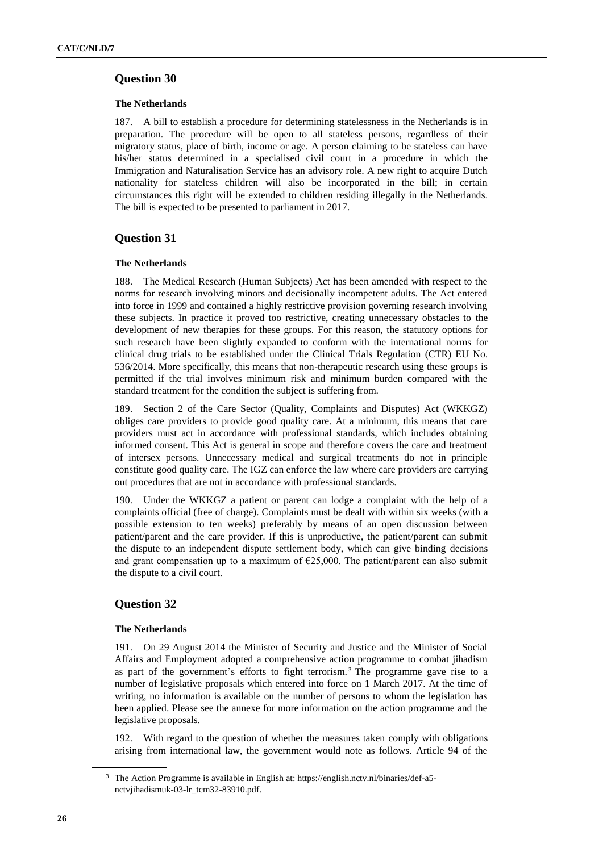## **The Netherlands**

187. A bill to establish a procedure for determining statelessness in the Netherlands is in preparation. The procedure will be open to all stateless persons, regardless of their migratory status, place of birth, income or age. A person claiming to be stateless can have his/her status determined in a specialised civil court in a procedure in which the Immigration and Naturalisation Service has an advisory role. A new right to acquire Dutch nationality for stateless children will also be incorporated in the bill; in certain circumstances this right will be extended to children residing illegally in the Netherlands. The bill is expected to be presented to parliament in 2017.

## **Question 31**

## **The Netherlands**

188. The Medical Research (Human Subjects) Act has been amended with respect to the norms for research involving minors and decisionally incompetent adults. The Act entered into force in 1999 and contained a highly restrictive provision governing research involving these subjects. In practice it proved too restrictive, creating unnecessary obstacles to the development of new therapies for these groups. For this reason, the statutory options for such research have been slightly expanded to conform with the international norms for clinical drug trials to be established under the Clinical Trials Regulation (CTR) EU No. 536/2014. More specifically, this means that non-therapeutic research using these groups is permitted if the trial involves minimum risk and minimum burden compared with the standard treatment for the condition the subject is suffering from.

Section 2 of the Care Sector (Quality, Complaints and Disputes) Act (WKKGZ) obliges care providers to provide good quality care. At a minimum, this means that care providers must act in accordance with professional standards, which includes obtaining informed consent. This Act is general in scope and therefore covers the care and treatment of intersex persons. Unnecessary medical and surgical treatments do not in principle constitute good quality care. The IGZ can enforce the law where care providers are carrying out procedures that are not in accordance with professional standards.

190. Under the WKKGZ a patient or parent can lodge a complaint with the help of a complaints official (free of charge). Complaints must be dealt with within six weeks (with a possible extension to ten weeks) preferably by means of an open discussion between patient/parent and the care provider. If this is unproductive, the patient/parent can submit the dispute to an independent dispute settlement body, which can give binding decisions and grant compensation up to a maximum of €25,000. The patient/parent can also submit the dispute to a civil court.

# **Question 32**

## **The Netherlands**

191. On 29 August 2014 the Minister of Security and Justice and the Minister of Social Affairs and Employment adopted a comprehensive action programme to combat jihadism as part of the government's efforts to fight terrorism. <sup>3</sup> The programme gave rise to a number of legislative proposals which entered into force on 1 March 2017. At the time of writing, no information is available on the number of persons to whom the legislation has been applied. Please see the annexe for more information on the action programme and the legislative proposals.

192. With regard to the question of whether the measures taken comply with obligations arising from international law, the government would note as follows. Article 94 of the

<sup>3</sup> The Action Programme is available in English at: https://english.nctv.nl/binaries/def-a5 nctvjihadismuk-03-lr\_tcm32-83910.pdf.